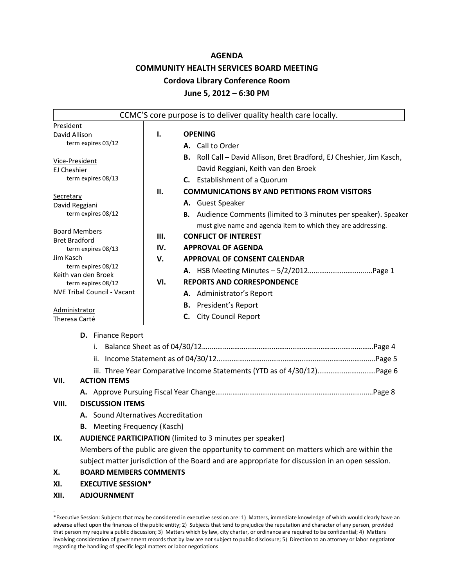#### **AGENDA**

## **COMMUNITY HEALTH SERVICES BOARD MEETING**

#### **Cordova Library Conference Room**

#### **June 5, 2012 – 6:30 PM**

|                                              |                                     | CCMC'S core purpose is to deliver quality health care locally.                                  |  |  |
|----------------------------------------------|-------------------------------------|-------------------------------------------------------------------------------------------------|--|--|
| President                                    |                                     |                                                                                                 |  |  |
| David Allison                                | ı.                                  | <b>OPENING</b>                                                                                  |  |  |
| term expires 03/12                           |                                     | A. Call to Order                                                                                |  |  |
| Vice-President                               |                                     | B. Roll Call - David Allison, Bret Bradford, EJ Cheshier, Jim Kasch,                            |  |  |
| EJ Cheshier                                  |                                     | David Reggiani, Keith van den Broek                                                             |  |  |
| term expires 08/13                           |                                     | <b>C.</b> Establishment of a Quorum                                                             |  |  |
|                                              | Н.                                  | <b>COMMUNICATIONS BY AND PETITIONS FROM VISITORS</b>                                            |  |  |
| <b>Secretary</b><br>David Reggiani           |                                     | A. Guest Speaker                                                                                |  |  |
| term expires 08/12                           |                                     | B. Audience Comments (limited to 3 minutes per speaker). Speaker                                |  |  |
|                                              |                                     | must give name and agenda item to which they are addressing.                                    |  |  |
| <b>Board Members</b><br><b>Bret Bradford</b> | Ш.                                  | <b>CONFLICT OF INTEREST</b>                                                                     |  |  |
| term expires 08/13                           | IV.                                 | <b>APPROVAL OF AGENDA</b>                                                                       |  |  |
| Jim Kasch                                    | v.                                  | <b>APPROVAL OF CONSENT CALENDAR</b>                                                             |  |  |
| term expires 08/12<br>Keith van den Broek    |                                     |                                                                                                 |  |  |
| term expires 08/12                           | VI.                                 | <b>REPORTS AND CORRESPONDENCE</b>                                                               |  |  |
| <b>NVE Tribal Council - Vacant</b>           |                                     | A. Administrator's Report                                                                       |  |  |
|                                              |                                     | <b>B.</b> President's Report                                                                    |  |  |
| Administrator<br>Theresa Carté               |                                     | <b>City Council Report</b><br>C.                                                                |  |  |
|                                              |                                     |                                                                                                 |  |  |
| D. Finance Report                            |                                     |                                                                                                 |  |  |
|                                              |                                     |                                                                                                 |  |  |
|                                              |                                     |                                                                                                 |  |  |
|                                              |                                     | iii. Three Year Comparative Income Statements (YTD as of 4/30/12)Page 6                         |  |  |
| <b>ACTION ITEMS</b><br>VII.                  |                                     |                                                                                                 |  |  |
|                                              |                                     |                                                                                                 |  |  |
| <b>DISCUSSION ITEMS</b><br>VIII.             |                                     |                                                                                                 |  |  |
|                                              | A. Sound Alternatives Accreditation |                                                                                                 |  |  |
|                                              | <b>B.</b> Meeting Frequency (Kasch) |                                                                                                 |  |  |
| IX.                                          |                                     | <b>AUDIENCE PARTICIPATION</b> (limited to 3 minutes per speaker)                                |  |  |
|                                              |                                     | Members of the public are given the opportunity to comment on matters which are within the      |  |  |
|                                              |                                     | subject matter jurisdiction of the Board and are appropriate for discussion in an open session. |  |  |
| х.                                           | <b>BOARD MEMBERS COMMENTS</b>       |                                                                                                 |  |  |
|                                              | <b>EXECUTIVE SESSION*</b>           |                                                                                                 |  |  |
| XI.                                          |                                     |                                                                                                 |  |  |

<sup>\*</sup>Executive Session: Subjects that may be considered in executive session are: 1) Matters, immediate knowledge of which would clearly have an adverse effect upon the finances of the public entity; 2) Subjects that tend to prejudice the reputation and character of any person, provided that person my require a public discussion; 3) Matters which by law, city charter, or ordinance are required to be confidential; 4) Matters involving consideration of government records that by law are not subject to public disclosure; 5) Direction to an attorney or labor negotiator regarding the handling of specific legal matters or labor negotiations

.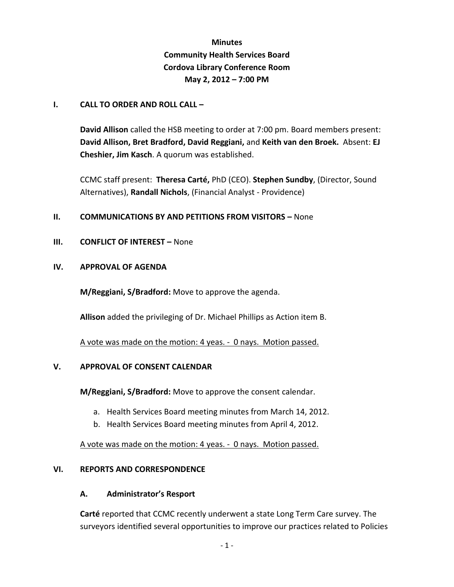# **Minutes Community Health Services Board Cordova Library Conference Room May 2, 2012 – 7:00 PM**

## **I. CALL TO ORDER AND ROLL CALL –**

**David Allison** called the HSB meeting to order at 7:00 pm. Board members present: **David Allison, Bret Bradford, David Reggiani,** and **Keith van den Broek.** Absent: **EJ Cheshier, Jim Kasch**. A quorum was established.

CCMC staff present: **Theresa Carté,** PhD (CEO). **Stephen Sundby**, (Director, Sound Alternatives), **Randall Nichols**, (Financial Analyst - Providence)

## **II. COMMUNICATIONS BY AND PETITIONS FROM VISITORS – None**

**III. CONFLICT OF INTEREST –** None

#### **IV. APPROVAL OF AGENDA**

**M/Reggiani, S/Bradford:** Move to approve the agenda.

**Allison** added the privileging of Dr. Michael Phillips as Action item B.

A vote was made on the motion: 4 yeas. - 0 nays. Motion passed.

## **V. APPROVAL OF CONSENT CALENDAR**

**M/Reggiani, S/Bradford:** Move to approve the consent calendar.

- a. Health Services Board meeting minutes from March 14, 2012.
- b. Health Services Board meeting minutes from April 4, 2012.

A vote was made on the motion: 4 yeas. - 0 nays. Motion passed.

## **VI. REPORTS AND CORRESPONDENCE**

#### **A. Administrator's Resport**

**Carté** reported that CCMC recently underwent a state Long Term Care survey. The surveyors identified several opportunities to improve our practices related to Policies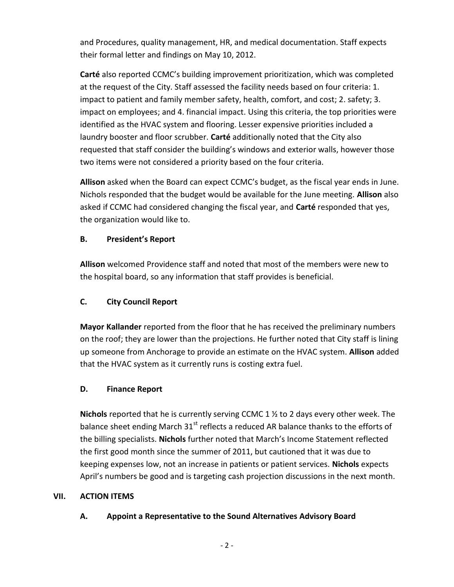and Procedures, quality management, HR, and medical documentation. Staff expects their formal letter and findings on May 10, 2012.

**Carté** also reported CCMC's building improvement prioritization, which was completed at the request of the City. Staff assessed the facility needs based on four criteria: 1. impact to patient and family member safety, health, comfort, and cost; 2. safety; 3. impact on employees; and 4. financial impact. Using this criteria, the top priorities were identified as the HVAC system and flooring. Lesser expensive priorities included a laundry booster and floor scrubber. **Carté** additionally noted that the City also requested that staff consider the building's windows and exterior walls, however those two items were not considered a priority based on the four criteria.

**Allison** asked when the Board can expect CCMC's budget, as the fiscal year ends in June. Nichols responded that the budget would be available for the June meeting. **Allison** also asked if CCMC had considered changing the fiscal year, and **Carté** responded that yes, the organization would like to.

# **B. President's Report**

**Allison** welcomed Providence staff and noted that most of the members were new to the hospital board, so any information that staff provides is beneficial.

# **C. City Council Report**

**Mayor Kallander** reported from the floor that he has received the preliminary numbers on the roof; they are lower than the projections. He further noted that City staff is lining up someone from Anchorage to provide an estimate on the HVAC system. **Allison** added that the HVAC system as it currently runs is costing extra fuel.

# **D. Finance Report**

**Nichols** reported that he is currently serving CCMC 1 ½ to 2 days every other week. The balance sheet ending March  $31^{st}$  reflects a reduced AR balance thanks to the efforts of the billing specialists. **Nichols** further noted that March's Income Statement reflected the first good month since the summer of 2011, but cautioned that it was due to keeping expenses low, not an increase in patients or patient services. **Nichols** expects April's numbers be good and is targeting cash projection discussions in the next month.

## **VII. ACTION ITEMS**

# **A. Appoint a Representative to the Sound Alternatives Advisory Board**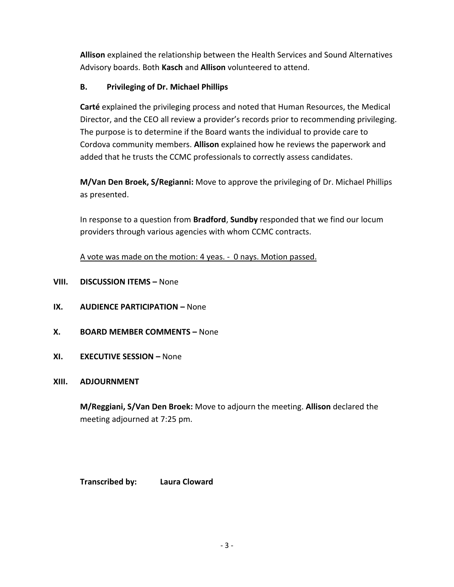**Allison** explained the relationship between the Health Services and Sound Alternatives Advisory boards. Both **Kasch** and **Allison** volunteered to attend.

# **B. Privileging of Dr. Michael Phillips**

**Carté** explained the privileging process and noted that Human Resources, the Medical Director, and the CEO all review a provider's records prior to recommending privileging. The purpose is to determine if the Board wants the individual to provide care to Cordova community members. **Allison** explained how he reviews the paperwork and added that he trusts the CCMC professionals to correctly assess candidates.

**M/Van Den Broek, S/Regianni:** Move to approve the privileging of Dr. Michael Phillips as presented.

In response to a question from **Bradford**, **Sundby** responded that we find our locum providers through various agencies with whom CCMC contracts.

A vote was made on the motion: 4 yeas. - 0 nays. Motion passed.

- **VIII.** DISCUSSION ITEMS None
- **IX. AUDIENCE PARTICIPATION –** None
- **X. BOARD MEMBER COMMENTS –** None
- **XI. EXECUTIVE SESSION –** None

# **XIII. ADJOURNMENT**

**M/Reggiani, S/Van Den Broek:** Move to adjourn the meeting. **Allison** declared the meeting adjourned at 7:25 pm.

**Transcribed by: Laura Cloward**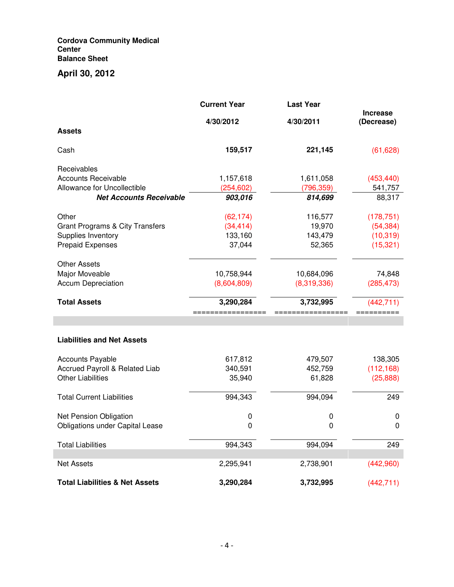#### **Cordova Community Medical Center Balance Sheet**

# **April 30, 2012**

|                                            | <b>Current Year</b> | <b>Last Year</b> |                               |
|--------------------------------------------|---------------------|------------------|-------------------------------|
|                                            | 4/30/2012           | 4/30/2011        | <b>Increase</b><br>(Decrease) |
| <b>Assets</b>                              |                     |                  |                               |
| Cash                                       | 159,517             | 221,145          | (61, 628)                     |
| Receivables                                |                     |                  |                               |
| <b>Accounts Receivable</b>                 | 1,157,618           | 1,611,058        | (453, 440)                    |
| Allowance for Uncollectible                | (254, 602)          | (796, 359)       | 541,757                       |
| <b>Net Accounts Receivable</b>             | 903,016             | 814,699          | 88,317                        |
| Other                                      | (62, 174)           | 116,577          | (178, 751)                    |
| <b>Grant Programs &amp; City Transfers</b> | (34, 414)           | 19,970           | (54, 384)                     |
| Supplies Inventory                         | 133,160             | 143,479          | (10, 319)                     |
| <b>Prepaid Expenses</b>                    | 37,044              | 52,365           | (15, 321)                     |
| <b>Other Assets</b>                        |                     |                  |                               |
| Major Moveable                             | 10,758,944          | 10,684,096       | 74,848                        |
| <b>Accum Depreciation</b>                  | (8,604,809)         | (8,319,336)      | (285, 473)                    |
| <b>Total Assets</b>                        | 3,290,284           | 3,732,995        | (442, 711)                    |
|                                            |                     |                  |                               |
|                                            |                     |                  |                               |
| <b>Liabilities and Net Assets</b>          |                     |                  |                               |
| <b>Accounts Payable</b>                    | 617,812             | 479,507          | 138,305                       |
| Accrued Payroll & Related Liab             | 340,591             | 452,759          | (112, 168)                    |
| <b>Other Liabilities</b>                   | 35,940              | 61,828           | (25,888)                      |
| <b>Total Current Liabilities</b>           | 994,343             | 994,094          | 249                           |
| Net Pension Obligation                     | 0                   | 0                | 0                             |
| <b>Obligations under Capital Lease</b>     | 0                   | 0                | 0                             |
| <b>Total Liabilities</b>                   | 994,343             | 994,094          | 249                           |
| Net Assets                                 | 2,295,941           | 2,738,901        | (442,960)                     |
| <b>Total Liabilities &amp; Net Assets</b>  | 3,290,284           | 3,732,995        | (442, 711)                    |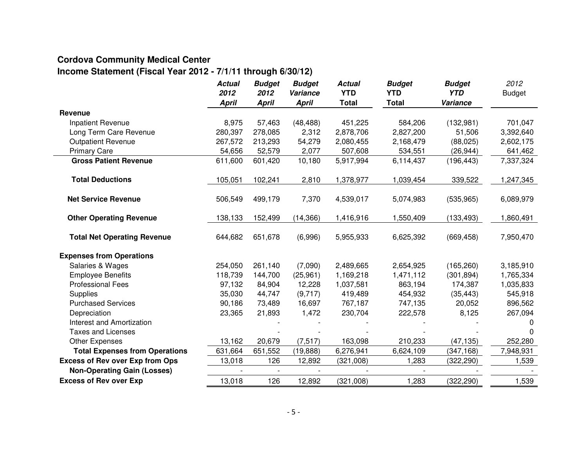# **Cordova Community Medical Center**

# **Income Statement (Fiscal Year 2012 - 7/1/11 through 6/30/12)**

|                                        | <b>Actual</b><br>2012 | <b>Budget</b><br>2012 | <b>Budget</b><br>Variance | <b>Actual</b><br><b>YTD</b> | <b>Budget</b><br><b>YTD</b> | <b>Budget</b><br><b>YTD</b> | 2012<br><b>Budget</b> |
|----------------------------------------|-----------------------|-----------------------|---------------------------|-----------------------------|-----------------------------|-----------------------------|-----------------------|
|                                        | <b>April</b>          | <b>April</b>          | <b>April</b>              | <b>Total</b>                | <b>Total</b>                | Variance                    |                       |
| Revenue                                |                       |                       |                           |                             |                             |                             |                       |
| Inpatient Revenue                      | 8,975                 | 57,463                | (48, 488)                 | 451,225                     | 584,206                     | (132,981)                   | 701,047               |
| Long Term Care Revenue                 | 280,397               | 278,085               | 2,312                     | 2,878,706                   | 2,827,200                   | 51,506                      | 3,392,640             |
| <b>Outpatient Revenue</b>              | 267,572               | 213,293               | 54,279                    | 2,080,455                   | 2,168,479                   | (88, 025)                   | 2,602,175             |
| <b>Primary Care</b>                    | 54,656                | 52,579                | 2,077                     | 507,608                     | 534,551                     | (26, 944)                   | 641,462               |
| <b>Gross Patient Revenue</b>           | 611,600               | 601,420               | 10,180                    | 5,917,994                   | 6,114,437                   | (196, 443)                  | 7,337,324             |
| <b>Total Deductions</b>                | 105,051               | 102,241               | 2,810                     | 1,378,977                   | 1,039,454                   | 339,522                     | 1,247,345             |
| <b>Net Service Revenue</b>             | 506,549               | 499,179               | 7,370                     | 4,539,017                   | 5,074,983                   | (535, 965)                  | 6,089,979             |
| <b>Other Operating Revenue</b>         | 138,133               | 152,499               | (14, 366)                 | 1,416,916                   | 1,550,409                   | (133, 493)                  | 1,860,491             |
| <b>Total Net Operating Revenue</b>     | 644,682               | 651,678               | (6,996)                   | 5,955,933                   | 6,625,392                   | (669, 458)                  | 7,950,470             |
| <b>Expenses from Operations</b>        |                       |                       |                           |                             |                             |                             |                       |
| Salaries & Wages                       | 254,050               | 261,140               | (7,090)                   | 2,489,665                   | 2,654,925                   | (165, 260)                  | 3,185,910             |
| <b>Employee Benefits</b>               | 118,739               | 144,700               | (25,961)                  | 1,169,218                   | 1,471,112                   | (301, 894)                  | 1,765,334             |
| <b>Professional Fees</b>               | 97,132                | 84,904                | 12,228                    | 1,037,581                   | 863,194                     | 174,387                     | 1,035,833             |
| <b>Supplies</b>                        | 35,030                | 44,747                | (9,717)                   | 419,489                     | 454,932                     | (35, 443)                   | 545,918               |
| <b>Purchased Services</b>              | 90,186                | 73,489                | 16,697                    | 767,187                     | 747,135                     | 20,052                      | 896,562               |
| Depreciation                           | 23,365                | 21,893                | 1,472                     | 230,704                     | 222,578                     | 8,125                       | 267,094               |
| Interest and Amortization              |                       |                       |                           |                             |                             |                             |                       |
| <b>Taxes and Licenses</b>              |                       |                       |                           |                             |                             |                             |                       |
| Other Expenses                         | 13,162                | 20,679                | (7, 517)                  | 163,098                     | 210,233                     | (47, 135)                   | 252,280               |
| <b>Total Expenses from Operations</b>  | 631,664               | 651,552               | (19, 888)                 | 6,276,941                   | 6,624,109                   | (347, 168)                  | 7,948,931             |
| <b>Excess of Rev over Exp from Ops</b> | 13,018                | 126                   | 12,892                    | (321,008)                   | 1,283                       | (322, 290)                  | 1,539                 |
| <b>Non-Operating Gain (Losses)</b>     |                       |                       |                           |                             | $\overline{a}$              |                             |                       |
| <b>Excess of Rev over Exp</b>          | 13,018                | 126                   | 12,892                    | (321,008)                   | 1,283                       | (322, 290)                  | 1,539                 |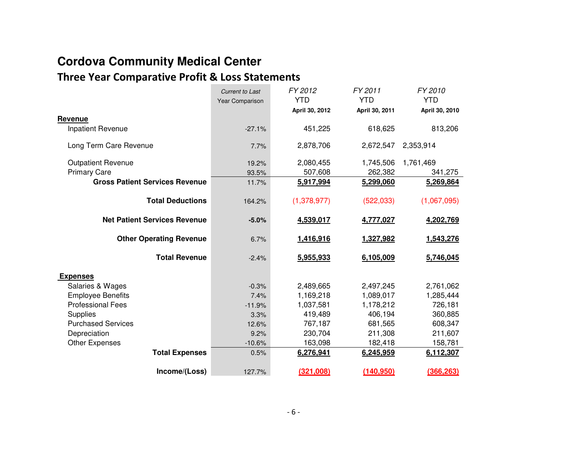# **Cordova Community Medical Center**

# **Three Year Comparative Profit & Loss Statements**

|                                       | <b>Current to Last</b> | FY 2012        | FY 2011        | FY 2010        |
|---------------------------------------|------------------------|----------------|----------------|----------------|
|                                       | Year Comparison        | <b>YTD</b>     | <b>YTD</b>     | <b>YTD</b>     |
|                                       |                        | April 30, 2012 | April 30, 2011 | April 30, 2010 |
| Revenue                               |                        |                |                |                |
| Inpatient Revenue                     | $-27.1%$               | 451,225        | 618,625        | 813,206        |
| Long Term Care Revenue                | 7.7%                   | 2,878,706      | 2,672,547      | 2,353,914      |
| <b>Outpatient Revenue</b>             | 19.2%                  | 2,080,455      | 1,745,506      | 1,761,469      |
| <b>Primary Care</b>                   | 93.5%                  | 507,608        | 262,382        | 341,275        |
| <b>Gross Patient Services Revenue</b> | 11.7%                  | 5,917,994      | 5,299,060      | 5,269,864      |
| <b>Total Deductions</b>               | 164.2%                 | (1,378,977)    | (522, 033)     | (1,067,095)    |
| <b>Net Patient Services Revenue</b>   | $-5.0%$                | 4,539,017      | 4,777,027      | 4,202,769      |
| <b>Other Operating Revenue</b>        | 6.7%                   | 1,416,916      | 1,327,982      | 1,543,276      |
| <b>Total Revenue</b>                  | $-2.4%$                | 5,955,933      | 6,105,009      | 5,746,045      |
| <b>Expenses</b>                       |                        |                |                |                |
| Salaries & Wages                      | $-0.3%$                | 2,489,665      | 2,497,245      | 2,761,062      |
| <b>Employee Benefits</b>              | 7.4%                   | 1,169,218      | 1,089,017      | 1,285,444      |
| <b>Professional Fees</b>              | $-11.9%$               | 1,037,581      | 1,178,212      | 726,181        |
| Supplies                              | 3.3%                   | 419,489        | 406,194        | 360,885        |
| <b>Purchased Services</b>             | 12.6%                  | 767,187        | 681,565        | 608,347        |
| Depreciation                          | 9.2%                   | 230,704        | 211,308        | 211,607        |
| <b>Other Expenses</b>                 | $-10.6%$               | 163,098        | 182,418        | 158,781        |
| <b>Total Expenses</b>                 | 0.5%                   | 6,276,941      | 6,245,959      | 6,112,307      |
| Income/(Loss)                         | 127.7%                 | (321,008)      | (140, 950)     | (366, 263)     |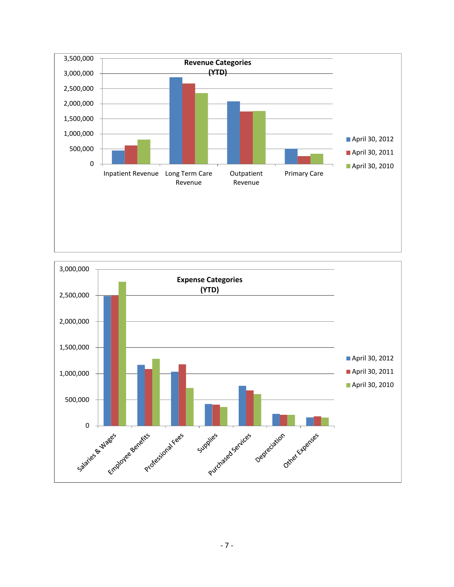